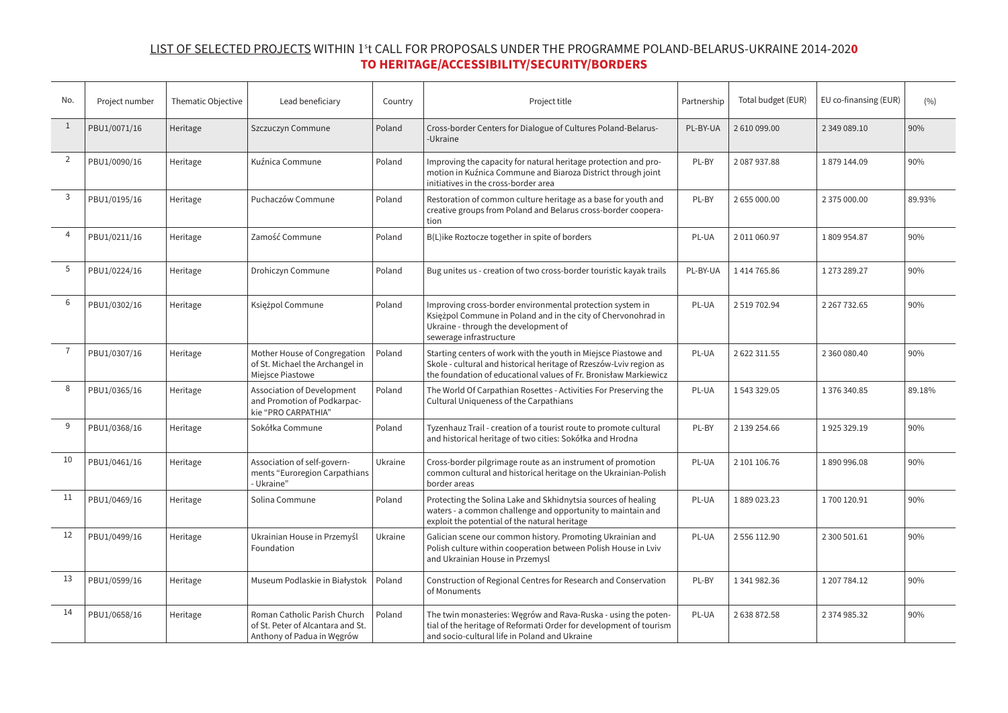## LIST OF SELECTED PROJECTS WITHIN 1<sup>s</sup> t CALL FOR PROPOSALS UNDER THE PROGRAMME POLAND-BELARUS-UKRAINE 2014-202**0 TO HERITAGE/ACCESSIBILITY/SECURITY/BORDERS**

| No.            | Project number | Thematic Objective | Lead beneficiary                                                                                | Country | Project title                                                                                                                                                                                             | Partnership | Total budget (EUR) | EU co-finansing (EUR) | (9/0)  |
|----------------|----------------|--------------------|-------------------------------------------------------------------------------------------------|---------|-----------------------------------------------------------------------------------------------------------------------------------------------------------------------------------------------------------|-------------|--------------------|-----------------------|--------|
| $\mathbf{1}$   | PBU1/0071/16   | Heritage           | Szczuczyn Commune                                                                               | Poland  | Cross-border Centers for Dialogue of Cultures Poland-Belarus-<br>-Ukraine                                                                                                                                 | PL-BY-UA    | 2610099.00         | 2 349 089.10          | 90%    |
| 2              | PBU1/0090/16   | Heritage           | Kuźnica Commune                                                                                 | Poland  | Improving the capacity for natural heritage protection and pro-<br>motion in Kuźnica Commune and Biaroza District through joint<br>initiatives in the cross-border area                                   | PL-BY       | 2087937.88         | 1879 144.09           | 90%    |
| 3              | PBU1/0195/16   | Heritage           | Puchaczów Commune                                                                               | Poland  | Restoration of common culture heritage as a base for youth and<br>creative groups from Poland and Belarus cross-border coopera-<br>tion                                                                   | PL-BY       | 2 655 000.00       | 2 375 000.00          | 89.93% |
| $\overline{4}$ | PBU1/0211/16   | Heritage           | Zamość Commune                                                                                  | Poland  | B(L) ike Roztocze together in spite of borders                                                                                                                                                            | PL-UA       | 2011060.97         | 1809954.87            | 90%    |
| 5              | PBU1/0224/16   | Heritage           | Drohiczyn Commune                                                                               | Poland  | Bug unites us - creation of two cross-border touristic kayak trails                                                                                                                                       | PL-BY-UA    | 1414765.86         | 1 273 289.27          | 90%    |
| 6              | PBU1/0302/16   | Heritage           | Księżpol Commune                                                                                | Poland  | Improving cross-border environmental protection system in<br>Księżpol Commune in Poland and in the city of Chervonohrad in<br>Ukraine - through the development of<br>sewerage infrastructure             | PL-UA       | 2519702.94         | 2 2 6 7 7 3 2 . 6 5   | 90%    |
| $\overline{7}$ | PBU1/0307/16   | Heritage           | Mother House of Congregation<br>of St. Michael the Archangel in<br>Miejsce Piastowe             | Poland  | Starting centers of work with the youth in Miejsce Piastowe and<br>Skole - cultural and historical heritage of Rzeszów-Lviv region as<br>the foundation of educational values of Fr. Bronisław Markiewicz | PL-UA       | 2 622 311.55       | 2 360 080.40          | 90%    |
| 8              | PBU1/0365/16   | Heritage           | Association of Development<br>and Promotion of Podkarpac-<br>kie "PRO CARPATHIA"                | Poland  | The World Of Carpathian Rosettes - Activities For Preserving the<br>Cultural Uniqueness of the Carpathians                                                                                                | PL-UA       | 1543329.05         | 1376340.85            | 89.18% |
| 9              | PBU1/0368/16   | Heritage           | Sokółka Commune                                                                                 | Poland  | Tyzenhauz Trail - creation of a tourist route to promote cultural<br>and historical heritage of two cities: Sokółka and Hrodna                                                                            | PL-BY       | 2 139 254.66       | 1925329.19            | 90%    |
| 10             | PBU1/0461/16   | Heritage           | Association of self-govern-<br>ments "Euroregion Carpathians<br>- Ukraine"                      | Ukraine | Cross-border pilgrimage route as an instrument of promotion<br>common cultural and historical heritage on the Ukrainian-Polish<br>border areas                                                            | PL-UA       | 2 101 106.76       | 1890996.08            | 90%    |
| 11             | PBU1/0469/16   | Heritage           | Solina Commune                                                                                  | Poland  | Protecting the Solina Lake and Skhidnytsia sources of healing<br>waters - a common challenge and opportunity to maintain and<br>exploit the potential of the natural heritage                             | PL-UA       | 1889023.23         | 1700 120.91           | 90%    |
| 12             | PBU1/0499/16   | Heritage           | Ukrainian House in Przemyśl<br>Foundation                                                       | Ukraine | Galician scene our common history. Promoting Ukrainian and<br>Polish culture within cooperation between Polish House in Lviv<br>and Ukrainian House in Przemysl                                           | PL-UA       | 2 556 112.90       | 2 300 501.61          | 90%    |
| 13             | PBU1/0599/16   | Heritage           | Museum Podlaskie in Białystok                                                                   | Poland  | Construction of Regional Centres for Research and Conservation<br>of Monuments                                                                                                                            | PL-BY       | 1 341 982.36       | 1 207 784.12          | 90%    |
| 14             | PBU1/0658/16   | Heritage           | Roman Catholic Parish Church<br>of St. Peter of Alcantara and St.<br>Anthony of Padua in Węgrów | Poland  | The twin monasteries: Węgrów and Rava-Ruska - using the poten-<br>tial of the heritage of Reformati Order for development of tourism<br>and socio-cultural life in Poland and Ukraine                     | PL-UA       | 2638872.58         | 2 374 985.32          | 90%    |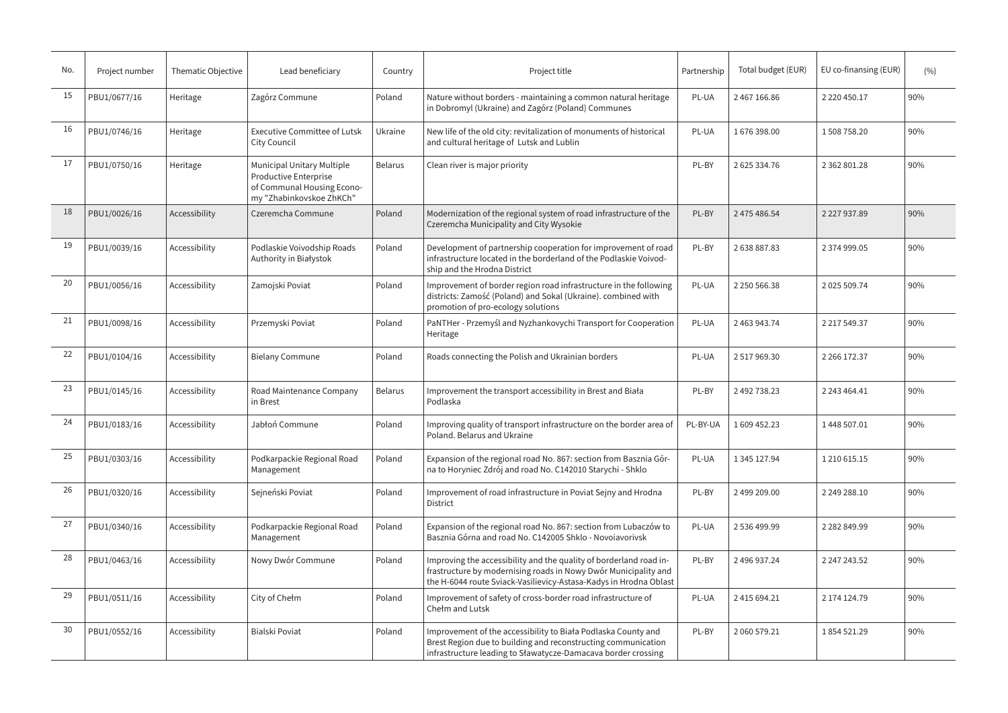| No. | Project number | Thematic Objective | Lead beneficiary                                                                                              | Country        | Project title                                                                                                                                                                                              | Partnership | Total budget (EUR) | EU co-finansing (EUR) | (9/6) |
|-----|----------------|--------------------|---------------------------------------------------------------------------------------------------------------|----------------|------------------------------------------------------------------------------------------------------------------------------------------------------------------------------------------------------------|-------------|--------------------|-----------------------|-------|
| 15  | PBU1/0677/16   | Heritage           | Zagórz Commune                                                                                                | Poland         | Nature without borders - maintaining a common natural heritage<br>in Dobromyl (Ukraine) and Zagórz (Poland) Communes                                                                                       | PL-UA       | 2 467 166.86       | 2 2 2 0 4 5 0 . 1 7   | 90%   |
| 16  | PBU1/0746/16   | Heritage           | <b>Executive Committee of Lutsk</b><br>City Council                                                           | Ukraine        | New life of the old city: revitalization of monuments of historical<br>and cultural heritage of Lutsk and Lublin                                                                                           | PL-UA       | 1676398.00         | 1508758.20            | 90%   |
| 17  | PBU1/0750/16   | Heritage           | Municipal Unitary Multiple<br>Productive Enterprise<br>of Communal Housing Econo-<br>my "Zhabinkovskoe ZhKCh" | <b>Belarus</b> | Clean river is major priority                                                                                                                                                                              | PL-BY       | 2 625 334.76       | 2 3 6 2 8 0 1.28      | 90%   |
| 18  | PBU1/0026/16   | Accessibility      | Czeremcha Commune                                                                                             | Poland         | Modernization of the regional system of road infrastructure of the<br>Czeremcha Municipality and City Wysokie                                                                                              | PL-BY       | 2 475 486.54       | 2 2 2 7 9 3 7 . 8 9   | 90%   |
| 19  | PBU1/0039/16   | Accessibility      | Podlaskie Voivodship Roads<br>Authority in Białystok                                                          | Poland         | Development of partnership cooperation for improvement of road<br>infrastructure located in the borderland of the Podlaskie Voivod-<br>ship and the Hrodna District                                        | PL-BY       | 2638887.83         | 2 374 999.05          | 90%   |
| 20  | PBU1/0056/16   | Accessibility      | Zamojski Poviat                                                                                               | Poland         | Improvement of border region road infrastructure in the following<br>districts: Zamość (Poland) and Sokal (Ukraine). combined with<br>promotion of pro-ecology solutions                                   | PL-UA       | 2 250 566.38       | 2025 509.74           | 90%   |
| 21  | PBU1/0098/16   | Accessibility      | Przemyski Poviat                                                                                              | Poland         | PaNTHer - Przemyśl and Nyzhankovychi Transport for Cooperation<br>Heritage                                                                                                                                 | PL-UA       | 2 463 943.74       | 2 2 1 7 5 4 9 . 3 7   | 90%   |
| 22  | PBU1/0104/16   | Accessibility      | <b>Bielany Commune</b>                                                                                        | Poland         | Roads connecting the Polish and Ukrainian borders                                                                                                                                                          | PL-UA       | 2517969.30         | 2 2 6 172.37          | 90%   |
| 23  | PBU1/0145/16   | Accessibility      | Road Maintenance Company<br>in Brest                                                                          | <b>Belarus</b> | Improvement the transport accessibility in Brest and Biała<br>Podlaska                                                                                                                                     | PL-BY       | 2 492 738.23       | 2 243 464.41          | 90%   |
| 24  | PBU1/0183/16   | Accessibility      | Jabłoń Commune                                                                                                | Poland         | Improving quality of transport infrastructure on the border area of<br>Poland. Belarus and Ukraine                                                                                                         | PL-BY-UA    | 1609452.23         | 1448 507.01           | 90%   |
| 25  | PBU1/0303/16   | Accessibility      | Podkarpackie Regional Road<br>Management                                                                      | Poland         | Expansion of the regional road No. 867: section from Basznia Gór-<br>na to Horyniec Zdrój and road No. C142010 Starychi - Shklo                                                                            | PL-UA       | 1 345 127.94       | 1 210 615.15          | 90%   |
| 26  | PBU1/0320/16   | Accessibility      | Sejneński Poviat                                                                                              | Poland         | Improvement of road infrastructure in Poviat Seiny and Hrodna<br><b>District</b>                                                                                                                           | PL-BY       | 2 499 209.00       | 2 249 288.10          | 90%   |
| 27  | PBU1/0340/16   | Accessibility      | Podkarpackie Regional Road<br>Management                                                                      | Poland         | Expansion of the regional road No. 867: section from Lubaczów to<br>Basznia Górna and road No. C142005 Shklo - Novojavorivsk                                                                               | PL-UA       | 2536499.99         | 2 2 8 2 8 4 9 . 9 9   | 90%   |
| 28  | PBU1/0463/16   | Accessibility      | Nowy Dwór Commune                                                                                             | Poland         | Improving the accessibility and the quality of borderland road in-<br>frastructure by modernising roads in Nowy Dwór Municipality and<br>the H-6044 route Sviack-Vasilievicy-Astasa-Kadys in Hrodna Oblast | PL-BY       | 2 496 937.24       | 2 247 243.52          | 90%   |
| 29  | PBU1/0511/16   | Accessibility      | City of Chełm                                                                                                 | Poland         | Improvement of safety of cross-border road infrastructure of<br>Chełm and Lutsk                                                                                                                            | PL-UA       | 2415694.21         | 2 174 124.79          | 90%   |
| 30  | PBU1/0552/16   | Accessibility      | Bialski Poviat                                                                                                | Poland         | Improvement of the accessibility to Biała Podlaska County and<br>Brest Region due to building and reconstructing communication<br>infrastructure leading to Sławatycze-Damacava border crossing            | PL-BY       | 2 060 579.21       | 1854521.29            | 90%   |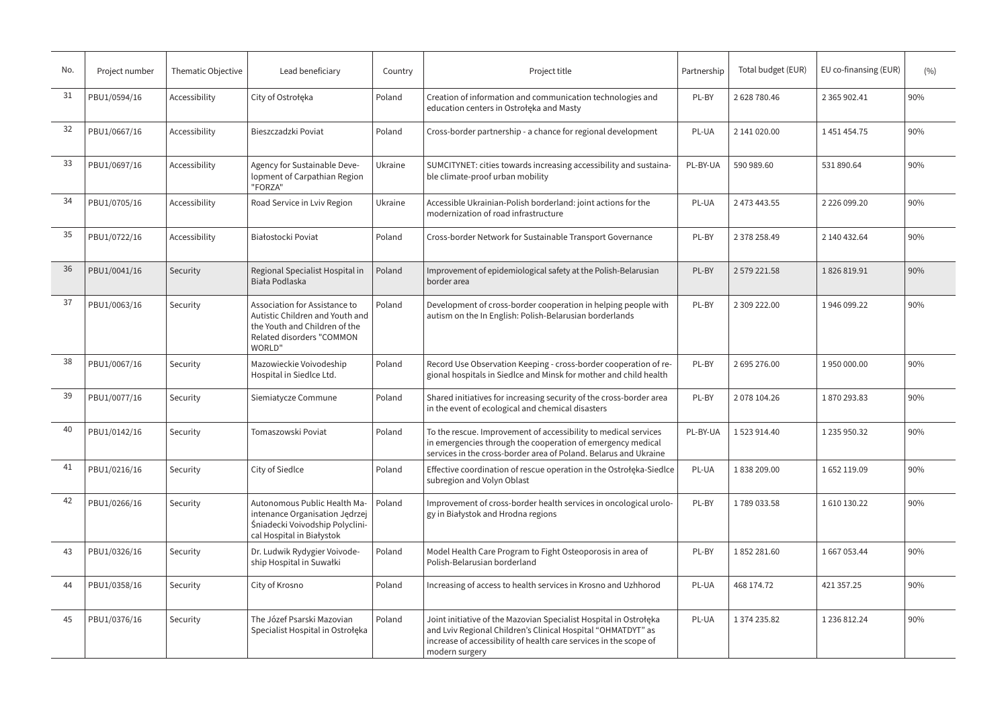| No. | Project number | Thematic Objective | Lead beneficiary                                                                                                                         | Country | Project title                                                                                                                                                                                                            | Partnership | Total budget (EUR) | EU co-finansing (EUR) | (9/0) |
|-----|----------------|--------------------|------------------------------------------------------------------------------------------------------------------------------------------|---------|--------------------------------------------------------------------------------------------------------------------------------------------------------------------------------------------------------------------------|-------------|--------------------|-----------------------|-------|
| 31  | PBU1/0594/16   | Accessibility      | City of Ostrołęka                                                                                                                        | Poland  | Creation of information and communication technologies and<br>education centers in Ostrołęka and Masty                                                                                                                   | PL-BY       | 2628780.46         | 2 3 6 5 9 0 2 . 4 1   | 90%   |
| 32  | PBU1/0667/16   | Accessibility      | Bieszczadzki Poviat                                                                                                                      | Poland  | Cross-border partnership - a chance for regional development                                                                                                                                                             | PL-UA       | 2 141 020.00       | 1451454.75            | 90%   |
| 33  | PBU1/0697/16   | Accessibility      | Agency for Sustainable Deve-<br>lopment of Carpathian Region<br>"FORZA"                                                                  | Ukraine | SUMCITYNET: cities towards increasing accessibility and sustaina-<br>ble climate-proof urban mobility                                                                                                                    | PL-BY-UA    | 590 989.60         | 531 890.64            | 90%   |
| 34  | PBU1/0705/16   | Accessibility      | Road Service in Lviv Region                                                                                                              | Ukraine | Accessible Ukrainian-Polish borderland: joint actions for the<br>modernization of road infrastructure                                                                                                                    | PL-UA       | 2 473 443.55       | 2 2 2 6 0 9 9 . 2 0   | 90%   |
| 35  | PBU1/0722/16   | Accessibility      | Białostocki Poviat                                                                                                                       | Poland  | Cross-border Network for Sustainable Transport Governance                                                                                                                                                                | PL-BY       | 2 378 258.49       | 2 140 432.64          | 90%   |
| 36  | PBU1/0041/16   | Security           | Regional Specialist Hospital in<br>Biała Podlaska                                                                                        | Poland  | Improvement of epidemiological safety at the Polish-Belarusian<br>border area                                                                                                                                            | PL-BY       | 2 579 221.58       | 1826819.91            | 90%   |
| 37  | PBU1/0063/16   | Security           | Association for Assistance to<br>Autistic Children and Youth and<br>the Youth and Children of the<br>Related disorders "COMMON<br>WORLD" | Poland  | Development of cross-border cooperation in helping people with<br>autism on the In English: Polish-Belarusian borderlands                                                                                                | PL-BY       | 2 309 222.00       | 1946 099.22           | 90%   |
| 38  | PBU1/0067/16   | Security           | Mazowieckie Voivodeship<br>Hospital in Siedlce Ltd.                                                                                      | Poland  | Record Use Observation Keeping - cross-border cooperation of re-<br>gional hospitals in Siedlce and Minsk for mother and child health                                                                                    | PL-BY       | 2695276.00         | 1950000.00            | 90%   |
| 39  | PBU1/0077/16   | Security           | Siemiatycze Commune                                                                                                                      | Poland  | Shared initiatives for increasing security of the cross-border area<br>in the event of ecological and chemical disasters                                                                                                 | PL-BY       | 2078 104.26        | 1870293.83            | 90%   |
| 40  | PBU1/0142/16   | Security           | Tomaszowski Poviat                                                                                                                       | Poland  | To the rescue. Improvement of accessibility to medical services<br>in emergencies through the cooperation of emergency medical<br>services in the cross-border area of Poland. Belarus and Ukraine                       | PL-BY-UA    | 1523914.40         | 1 235 950.32          | 90%   |
| 41  | PBU1/0216/16   | Security           | City of Siedlce                                                                                                                          | Poland  | Effective coordination of rescue operation in the Ostrołęka-Siedlce<br>subregion and Volyn Oblast                                                                                                                        | PL-UA       | 1838209.00         | 1652119.09            | 90%   |
| 42  | PBU1/0266/16   | Security           | Autonomous Public Health Ma-<br>intenance Organisation Jedrzej<br>Śniadecki Voivodship Polyclini-<br>cal Hospital in Białystok           | Poland  | Improvement of cross-border health services in oncological urolo-<br>gy in Białystok and Hrodna regions                                                                                                                  | PL-BY       | 1789033.58         | 1610130.22            | 90%   |
| 43  | PBU1/0326/16   | Security           | Dr. Ludwik Rydygier Voivode-<br>ship Hospital in Suwałki                                                                                 | Poland  | Model Health Care Program to Fight Osteoporosis in area of<br>Polish-Belarusian borderland                                                                                                                               | PL-BY       | 1852281.60         | 1667053.44            | 90%   |
| 44  | PBU1/0358/16   | Security           | City of Krosno                                                                                                                           | Poland  | Increasing of access to health services in Krosno and Uzhhorod                                                                                                                                                           | PL-UA       | 468 174.72         | 421 357.25            | 90%   |
| 45  | PBU1/0376/16   | Security           | The Józef Psarski Mazovian<br>Specialist Hospital in Ostrołęka                                                                           | Poland  | Joint initiative of the Mazovian Specialist Hospital in Ostrołęka<br>and Lviv Regional Children's Clinical Hospital "OHMATDYT" as<br>increase of accessibility of health care services in the scope of<br>modern surgery | PL-UA       | 1374235.82         | 1 236 812.24          | 90%   |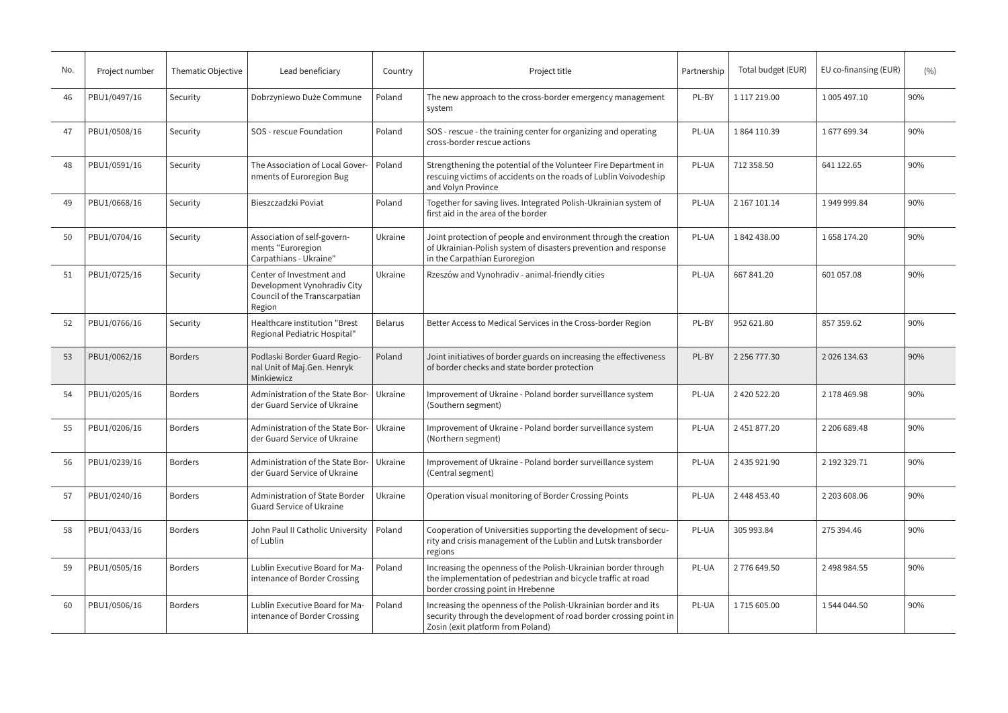| No. | Project number | Thematic Objective | Lead beneficiary                                                                                   | Country        | Project title                                                                                                                                                            | Partnership | Total budget (EUR)  | EU co-finansing (EUR) | (9/6) |
|-----|----------------|--------------------|----------------------------------------------------------------------------------------------------|----------------|--------------------------------------------------------------------------------------------------------------------------------------------------------------------------|-------------|---------------------|-----------------------|-------|
| 46  | PBU1/0497/16   | Security           | Dobrzyniewo Duże Commune                                                                           | Poland         | The new approach to the cross-border emergency management<br>system                                                                                                      | PL-BY       | 1 117 219.00        | 1 005 497.10          | 90%   |
| 47  | PBU1/0508/16   | Security           | SOS - rescue Foundation                                                                            | Poland         | SOS - rescue - the training center for organizing and operating<br>cross-border rescue actions                                                                           | PL-UA       | 1864 110.39         | 1677699.34            | 90%   |
| 48  | PBU1/0591/16   | Security           | The Association of Local Gover-<br>nments of Euroregion Bug                                        | Poland         | Strengthening the potential of the Volunteer Fire Department in<br>rescuing victims of accidents on the roads of Lublin Voivodeship<br>and Volyn Province                | PL-UA       | 712 358.50          | 641 122.65            | 90%   |
| 49  | PBU1/0668/16   | Security           | Bieszczadzki Poviat                                                                                | Poland         | Together for saving lives. Integrated Polish-Ukrainian system of<br>first aid in the area of the border                                                                  | PL-UA       | 2 167 101.14        | 1949999.84            | 90%   |
| 50  | PBU1/0704/16   | Security           | Association of self-govern-<br>ments "Euroregion<br>Carpathians - Ukraine"                         | Ukraine        | Joint protection of people and environment through the creation<br>of Ukrainian-Polish system of disasters prevention and response<br>in the Carpathian Euroregion       | PL-UA       | 1842438.00          | 1658 174.20           | 90%   |
| 51  | PBU1/0725/16   | Security           | Center of Investment and<br>Development Vynohradiv City<br>Council of the Transcarpatian<br>Region | Ukraine        | Rzeszów and Vynohradiv - animal-friendly cities                                                                                                                          | PL-UA       | 667 841.20          | 601 057.08            | 90%   |
| 52  | PBU1/0766/16   | Security           | Healthcare institution "Brest<br>Regional Pediatric Hospital"                                      | <b>Belarus</b> | Better Access to Medical Services in the Cross-border Region                                                                                                             | PL-BY       | 952 621.80          | 857 359.62            | 90%   |
| 53  | PBU1/0062/16   | <b>Borders</b>     | Podlaski Border Guard Regio-<br>nal Unit of Maj.Gen. Henryk<br>Minkiewicz                          | Poland         | Joint initiatives of border guards on increasing the effectiveness<br>of border checks and state border protection                                                       | PL-BY       | 2 2 5 6 7 7 7 . 3 0 | 2 0 2 6 1 3 4 . 6 3   | 90%   |
| 54  | PBU1/0205/16   | <b>Borders</b>     | Administration of the State Bor-<br>der Guard Service of Ukraine                                   | Ukraine        | Improvement of Ukraine - Poland border surveillance system<br>(Southern segment)                                                                                         | PL-UA       | 2420522.20          | 2 178 469.98          | 90%   |
| 55  | PBU1/0206/16   | <b>Borders</b>     | Administration of the State Bor-<br>der Guard Service of Ukraine                                   | Ukraine        | Improvement of Ukraine - Poland border surveillance system<br>(Northern segment)                                                                                         | PL-UA       | 2451877.20          | 2 206 689.48          | 90%   |
| 56  | PBU1/0239/16   | <b>Borders</b>     | Administration of the State Bor-<br>der Guard Service of Ukraine                                   | Ukraine        | Improvement of Ukraine - Poland border surveillance system<br>(Central segment)                                                                                          | PL-UA       | 2 435 921.90        | 2 192 329.71          | 90%   |
| 57  | PBU1/0240/16   | <b>Borders</b>     | <b>Administration of State Border</b><br><b>Guard Service of Ukraine</b>                           | Ukraine        | Operation visual monitoring of Border Crossing Points                                                                                                                    | PL-UA       | 2 448 453.40        | 2 203 608.06          | 90%   |
| 58  | PBU1/0433/16   | <b>Borders</b>     | John Paul II Catholic University<br>of Lublin                                                      | Poland         | Cooperation of Universities supporting the development of secu-<br>rity and crisis management of the Lublin and Lutsk transborder<br>regions                             | PL-UA       | 305 993.84          | 275 394.46            | 90%   |
| 59  | PBU1/0505/16   | <b>Borders</b>     | Lublin Executive Board for Ma-<br>intenance of Border Crossing                                     | Poland         | Increasing the openness of the Polish-Ukrainian border through<br>the implementation of pedestrian and bicycle traffic at road<br>border crossing point in Hrebenne      | PL-UA       | 2776 649.50         | 2498984.55            | 90%   |
| 60  | PBU1/0506/16   | <b>Borders</b>     | Lublin Executive Board for Ma-<br>intenance of Border Crossing                                     | Poland         | Increasing the openness of the Polish-Ukrainian border and its<br>security through the development of road border crossing point in<br>Zosin (exit platform from Poland) | PL-UA       | 1715 605.00         | 1544044.50            | 90%   |